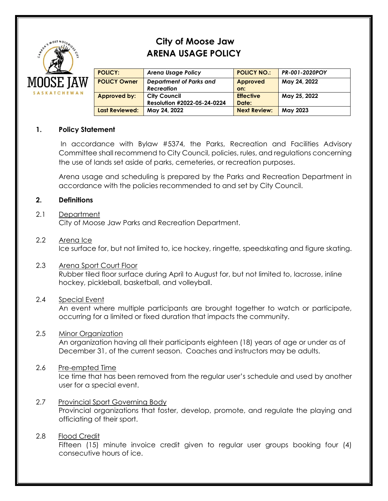

# **City of Moose Jaw ARENA USAGE POLICY**

| <b>POLICY:</b>        | <b>Arena Usage Policy</b>   | <b>POLICY NO.:</b>  | PR-001-2020POY |
|-----------------------|-----------------------------|---------------------|----------------|
| <b>POLICY Owner</b>   | Department of Parks and     | Approved            | May 24, 2022   |
|                       | <b>Recreation</b>           | on:                 |                |
| Approved by:          | <b>City Council</b>         | <b>Effective</b>    | May 25, 2022   |
|                       | Resolution #2022-05-24-0224 | Date:               |                |
| <b>Last Reviewed:</b> | May 24, 2022                | <b>Next Review:</b> | May 2023       |
|                       |                             |                     |                |

## **1. Policy Statement**

In accordance with Bylaw #5374, the Parks, Recreation and Facilities Advisory Committee shall recommend to City Council, policies, rules, and regulations concerning the use of lands set aside of parks, cemeteries, or recreation purposes.

Arena usage and scheduling is prepared by the Parks and Recreation Department in accordance with the policies recommended to and set by City Council.

## **2. Definitions**

## 2.1 Department

City of Moose Jaw Parks and Recreation Department.

#### 2.2 Arena Ice

Ice surface for, but not limited to, ice hockey, ringette, speedskating and figure skating.

2.3 Arena Sport Court Floor Rubber tiled floor surface during April to August for, but not limited to, lacrosse, inline hockey, pickleball, basketball, and volleyball.

## 2.4 Special Event

An event where multiple participants are brought together to watch or participate, occurring for a limited or fixed duration that impacts the community.

## 2.5 Minor Organization

An organization having all their participants eighteen (18) years of age or under as of December 31, of the current season. Coaches and instructors may be adults.

## 2.6 Pre-empted Time

Ice time that has been removed from the regular user's schedule and used by another user for a special event.

2.7 Provincial Sport Governing Body Provincial organizations that foster, develop, promote, and regulate the playing and officiating of their sport.

## 2.8 Flood Credit

Fifteen (15) minute invoice credit given to regular user groups booking four (4) consecutive hours of ice.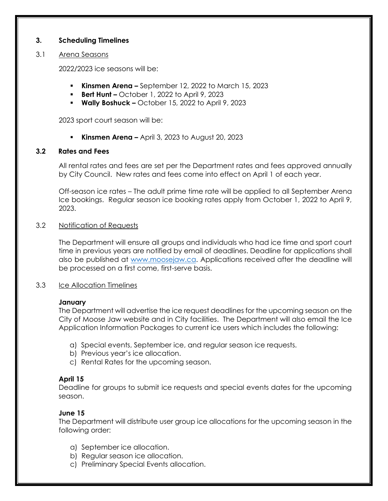## **3. Scheduling Timelines**

## 3.1 Arena Seasons

2022/2023 ice seasons will be:

- **Kinsmen Arena –** September 12, 2022 to March 15, 2023
- **Bert Hunt –** October 1, 2022 to April 9, 2023
- **Wally Boshuck –** October 15, 2022 to April 9, 2023

2023 sport court season will be:

▪ **Kinsmen Arena –** April 3, 2023 to August 20, 2023

## **3.2 Rates and Fees**

All rental rates and fees are set per the Department rates and fees approved annually by City Council. New rates and fees come into effect on April 1 of each year.

Off-season ice rates – The adult prime time rate will be applied to all September Arena Ice bookings. Regular season ice booking rates apply from October 1, 2022 to April 9, 2023.

## 3.2 Notification of Requests

The Department will ensure all groups and individuals who had ice time and sport court time in previous years are notified by email of deadlines. Deadline for applications shall also be published at [www.moosejaw.ca.](http://www.moosejaw.ca/) Applications received after the deadline will be processed on a first come, first-serve basis.

## 3.3 Ice Allocation Timelines

## **January**

The Department will advertise the ice request deadlines for the upcoming season on the City of Moose Jaw website and in City facilities. The Department will also email the Ice Application Information Packages to current ice users which includes the following:

- a) Special events, September ice, and regular season ice requests.
- b) Previous year's ice allocation.
- c) Rental Rates for the upcoming season.

## **April 15**

Deadline for groups to submit ice requests and special events dates for the upcoming season.

## **June 15**

The Department will distribute user group ice allocations for the upcoming season in the following order:

- a) September ice allocation.
- b) Regular season ice allocation.
- c) Preliminary Special Events allocation.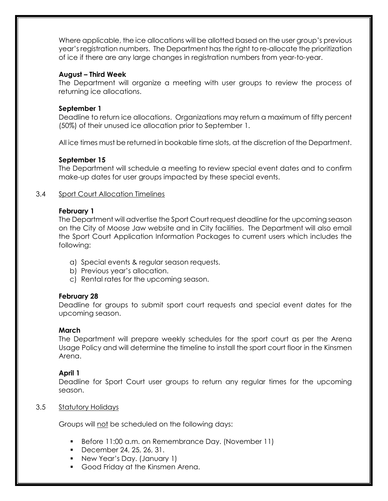Where applicable, the ice allocations will be allotted based on the user group's previous year's registration numbers. The Department has the right to re-allocate the prioritization of ice if there are any large changes in registration numbers from year-to-year.

## **August – Third Week**

The Department will organize a meeting with user groups to review the process of returning ice allocations.

## **September 1**

Deadline to return ice allocations. Organizations may return a maximum of fifty percent (50%) of their unused ice allocation prior to September 1.

All ice times must be returned in bookable time slots, at the discretion of the Department.

## **September 15**

The Department will schedule a meeting to review special event dates and to confirm make-up dates for user groups impacted by these special events.

## 3.4 Sport Court Allocation Timelines

## **February 1**

The Department will advertise the Sport Court request deadline for the upcoming season on the City of Moose Jaw website and in City facilities. The Department will also email the Sport Court Application Information Packages to current users which includes the following:

- a) Special events & regular season requests.
- b) Previous year's allocation.
- c) Rental rates for the upcoming season.

## **February 28**

Deadline for groups to submit sport court requests and special event dates for the upcoming season.

## **March**

The Department will prepare weekly schedules for the sport court as per the Arena Usage Policy and will determine the timeline to install the sport court floor in the Kinsmen Arena.

## **April 1**

Deadline for Sport Court user groups to return any regular times for the upcoming season.

## 3.5 Statutory Holidays

Groups will not be scheduled on the following days:

- Before 11:00 a.m. on Remembrance Day. (November 11)
- **•** December 24, 25, 26, 31.
- New Year's Day. (January 1)
- Good Friday at the Kinsmen Arena.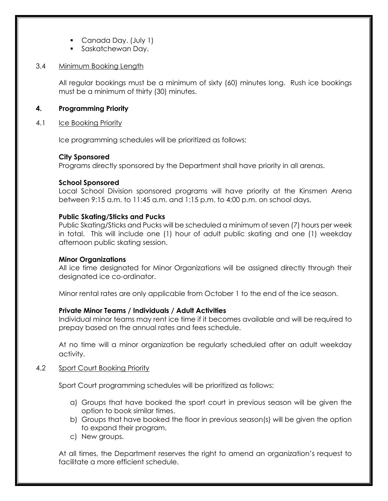- Canada Day. (July 1)
- **•** Saskatchewan Day.

## 3.4 Minimum Booking Length

All regular bookings must be a minimum of sixty (60) minutes long. Rush ice bookings must be a minimum of thirty (30) minutes.

## **4. Programming Priority**

## 4.1 Ice Booking Priority

Ice programming schedules will be prioritized as follows:

## **City Sponsored**

Programs directly sponsored by the Department shall have priority in all arenas.

## **School Sponsored**

Local School Division sponsored programs will have priority at the Kinsmen Arena between 9:15 a.m. to 11:45 a.m. and 1:15 p.m. to 4:00 p.m. on school days.

## **Public Skating/Sticks and Pucks**

Public Skating/Sticks and Pucks will be scheduled a minimum of seven (7) hours per week in total. This will include one (1) hour of adult public skating and one (1) weekday afternoon public skating session.

## **Minor Organizations**

All ice time designated for Minor Organizations will be assigned directly through their designated ice co-ordinator.

Minor rental rates are only applicable from October 1 to the end of the ice season.

## **Private Minor Teams / Individuals / Adult Activities**

Individual minor teams may rent ice time if it becomes available and will be required to prepay based on the annual rates and fees schedule.

At no time will a minor organization be regularly scheduled after an adult weekday activity.

## 4.2 Sport Court Booking Priority

Sport Court programming schedules will be prioritized as follows:

- a) Groups that have booked the sport court in previous season will be given the option to book similar times.
- b) Groups that have booked the floor in previous season(s) will be given the option to expand their program.
- c) New groups.

At all times, the Department reserves the right to amend an organization's request to facilitate a more efficient schedule.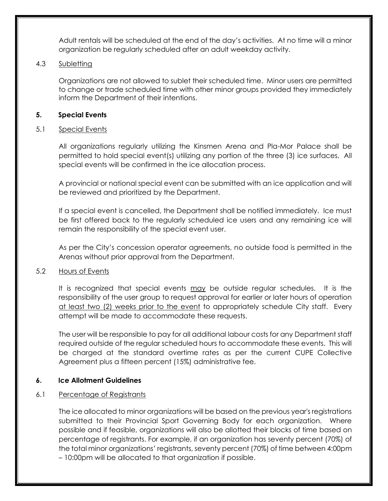Adult rentals will be scheduled at the end of the day's activities. At no time will a minor organization be regularly scheduled after an adult weekday activity.

## 4.3 Subletting

Organizations are not allowed to sublet their scheduled time. Minor users are permitted to change or trade scheduled time with other minor groups provided they immediately inform the Department of their intentions.

## **5. Special Events**

## 5.1 Special Events

All organizations regularly utilizing the Kinsmen Arena and Pla-Mor Palace shall be permitted to hold special event(s) utilizing any portion of the three (3) ice surfaces. All special events will be confirmed in the ice allocation process.

A provincial or national special event can be submitted with an ice application and will be reviewed and prioritized by the Department.

If a special event is cancelled, the Department shall be notified immediately. Ice must be first offered back to the regularly scheduled ice users and any remaining ice will remain the responsibility of the special event user.

As per the City's concession operator agreements, no outside food is permitted in the Arenas without prior approval from the Department.

## 5.2 Hours of Events

It is recognized that special events may be outside regular schedules. It is the responsibility of the user group to request approval for earlier or later hours of operation at least two (2) weeks prior to the event to appropriately schedule City staff. Every attempt will be made to accommodate these requests.

The user will be responsible to pay for all additional labour costs for any Department staff required outside of the regular scheduled hours to accommodate these events. This will be charged at the standard overtime rates as per the current CUPE Collective Agreement plus a fifteen percent (15%) administrative fee.

# **6. Ice Allotment Guidelines**

## 6.1 Percentage of Registrants

The ice allocated to minor organizations will be based on the previous year's registrations submitted to their Provincial Sport Governing Body for each organization. Where possible and if feasible, organizations will also be allotted their blocks of time based on percentage of registrants. For example, if an organization has seventy percent (70%) of the total minor organizations' registrants, seventy percent (70%) of time between 4:00pm – 10:00pm will be allocated to that organization if possible.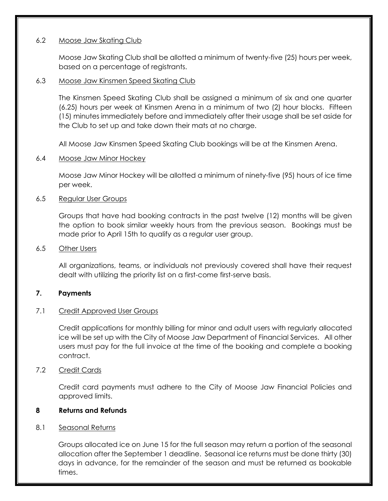## 6.2 Moose Jaw Skating Club

Moose Jaw Skating Club shall be allotted a minimum of twenty-five (25) hours per week, based on a percentage of registrants.

## 6.3 Moose Jaw Kinsmen Speed Skating Club

The Kinsmen Speed Skating Club shall be assigned a minimum of six and one quarter (6.25) hours per week at Kinsmen Arena in a minimum of two (2) hour blocks. Fifteen (15) minutes immediately before and immediately after their usage shall be set aside for the Club to set up and take down their mats at no charge.

All Moose Jaw Kinsmen Speed Skating Club bookings will be at the Kinsmen Arena.

## 6.4 Moose Jaw Minor Hockey

Moose Jaw Minor Hockey will be allotted a minimum of ninety-five (95) hours of ice time per week.

## 6.5 Regular User Groups

Groups that have had booking contracts in the past twelve (12) months will be given the option to book similar weekly hours from the previous season. Bookings must be made prior to April 15th to qualify as a regular user group.

## 6.5 Other Users

All organizations, teams, or individuals not previously covered shall have their request dealt with utilizing the priority list on a first-come first-serve basis.

## **7. Payments**

## 7.1 Credit Approved User Groups

Credit applications for monthly billing for minor and adult users with regularly allocated ice will be set up with the City of Moose Jaw Department of Financial Services. All other users must pay for the full invoice at the time of the booking and complete a booking contract.

## 7.2 Credit Cards

Credit card payments must adhere to the City of Moose Jaw Financial Policies and approved limits.

## **8 Returns and Refunds**

## 8.1 Seasonal Returns

Groups allocated ice on June 15 for the full season may return a portion of the seasonal allocation after the September 1 deadline. Seasonal ice returns must be done thirty (30) days in advance, for the remainder of the season and must be returned as bookable times.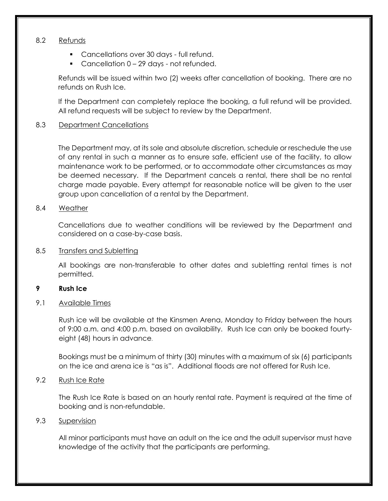## 8.2 Refunds

- **Cancellations over 30 days full refund.**
- Cancellation 0 29 days not refunded.

Refunds will be issued within two (2) weeks after cancellation of booking. There are no refunds on Rush Ice.

If the Department can completely replace the booking, a full refund will be provided. All refund requests will be subject to review by the Department.

## 8.3 Department Cancellations

The Department may, at its sole and absolute discretion, schedule or reschedule the use of any rental in such a manner as to ensure safe, efficient use of the facility, to allow maintenance work to be performed, or to accommodate other circumstances as may be deemed necessary. If the Department cancels a rental, there shall be no rental charge made payable. Every attempt for reasonable notice will be given to the user group upon cancellation of a rental by the Department.

## 8.4 Weather

Cancellations due to weather conditions will be reviewed by the Department and considered on a case-by-case basis.

## 8.5 Transfers and Subletting

All bookings are non-transferable to other dates and subletting rental times is not permitted.

## **9 Rush Ice**

9.1 Available Times

Rush ice will be available at the Kinsmen Arena, Monday to Friday between the hours of 9:00 a.m. and 4:00 p.m. based on availability. Rush Ice can only be booked fourtyeight (48) hours in advance.

Bookings must be a minimum of thirty (30) minutes with a maximum of six (6) participants on the ice and arena ice is "as is". Additional floods are not offered for Rush Ice.

## 9.2 Rush Ice Rate

The Rush Ice Rate is based on an hourly rental rate. Payment is required at the time of booking and is non-refundable.

## 9.3 Supervision

All minor participants must have an adult on the ice and the adult supervisor must have knowledge of the activity that the participants are performing.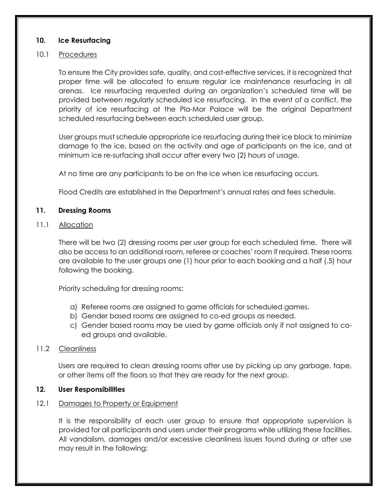## **10. Ice Resurfacing**

## 10.1 Procedures

To ensure the City provides safe, quality, and cost-effective services, it is recognized that proper time will be allocated to ensure regular ice maintenance resurfacing in all arenas. Ice resurfacing requested during an organization's scheduled time will be provided between regularly scheduled ice resurfacing. In the event of a conflict, the priority of ice resurfacing at the Pla-Mor Palace will be the original Department scheduled resurfacing between each scheduled user group.

User groups must schedule appropriate ice resurfacing during their ice block to minimize damage to the ice, based on the activity and age of participants on the ice, and at minimum ice re-surfacing shall occur after every two (2) hours of usage.

At no time are any participants to be on the ice when ice resurfacing occurs.

Flood Credits are established in the Department's annual rates and fees schedule.

## **11. Dressing Rooms**

## 11.1 Allocation

There will be two (2) dressing rooms per user group for each scheduled time. There will also be access to an additional room, referee or coaches' room if required. These rooms are available to the user groups one (1) hour prior to each booking and a half (.5) hour following the booking.

Priority scheduling for dressing rooms:

- a) Referee rooms are assigned to game officials for scheduled games.
- b) Gender based rooms are assigned to co-ed groups as needed.
- c) Gender based rooms may be used by game officials only if not assigned to coed groups and available.

## 11.2 Cleanliness

Users are required to clean dressing rooms after use by picking up any garbage, tape, or other items off the floors so that they are ready for the next group.

## **12. User Responsibilities**

## 12.1 Damages to Property or Equipment

It is the responsibility of each user group to ensure that appropriate supervision is provided for all participants and users under their programs while utilizing these facilities. All vandalism, damages and/or excessive cleanliness issues found during or after use may result in the following: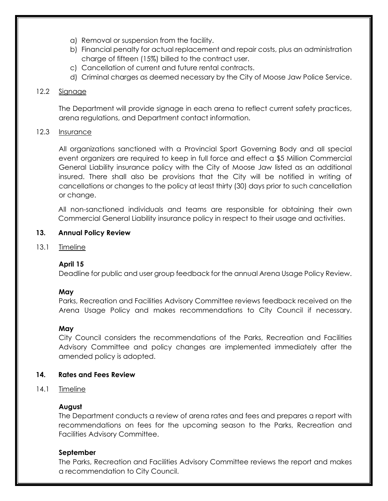- a) Removal or suspension from the facility.
- b) Financial penalty for actual replacement and repair costs, plus an administration charge of fifteen (15%) billed to the contract user.
- c) Cancellation of current and future rental contracts.
- d) Criminal charges as deemed necessary by the City of Moose Jaw Police Service.

# 12.2 Signage

The Department will provide signage in each arena to reflect current safety practices, arena regulations, and Department contact information.

# 12.3 Insurance

All organizations sanctioned with a Provincial Sport Governing Body and all special event organizers are required to keep in full force and effect a \$5 Million Commercial General Liability insurance policy with the City of Moose Jaw listed as an additional insured. There shall also be provisions that the City will be notified in writing of cancellations or changes to the policy at least thirty (30) days prior to such cancellation or change.

All non-sanctioned individuals and teams are responsible for obtaining their own Commercial General Liability insurance policy in respect to their usage and activities.

# **13. Annual Policy Review**

13.1 Timeline

# **April 15**

Deadline for public and user group feedback for the annual Arena Usage Policy Review.

# **May**

Parks, Recreation and Facilities Advisory Committee reviews feedback received on the Arena Usage Policy and makes recommendations to City Council if necessary.

# **May**

City Council considers the recommendations of the Parks, Recreation and Facilities Advisory Committee and policy changes are implemented immediately after the amended policy is adopted.

# **14. Rates and Fees Review**

14.1 Timeline

# **August**

The Department conducts a review of arena rates and fees and prepares a report with recommendations on fees for the upcoming season to the Parks, Recreation and Facilities Advisory Committee.

# **September**

The Parks, Recreation and Facilities Advisory Committee reviews the report and makes a recommendation to City Council.